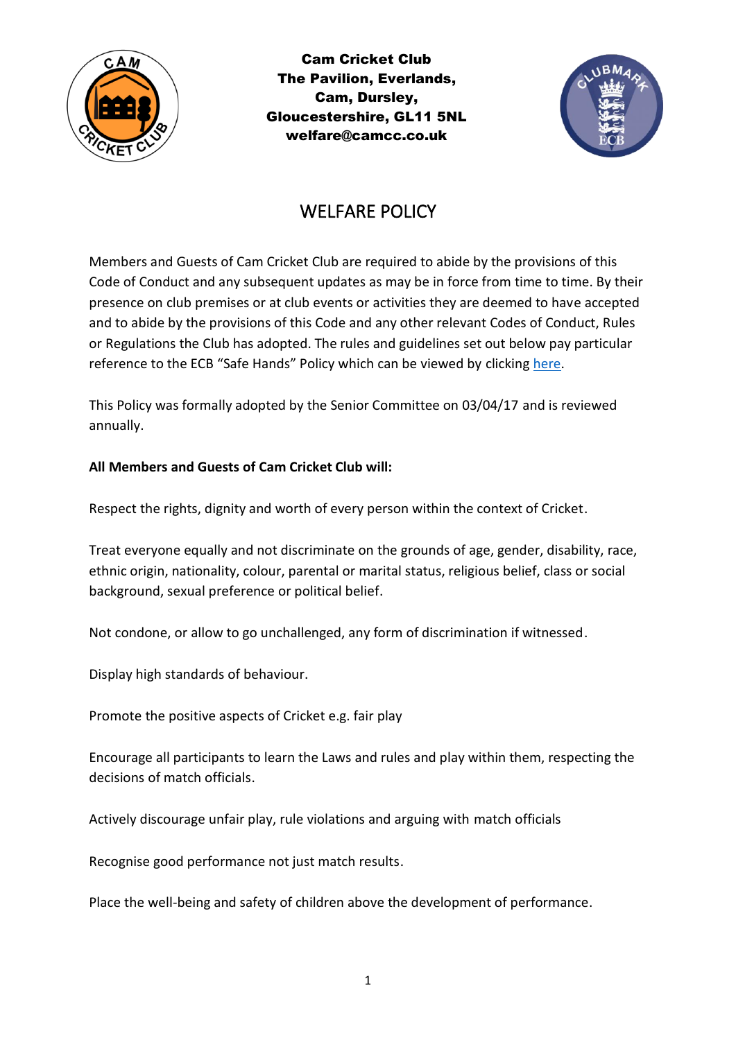

Cam Cricket Club The Pavilion, Everlands, Cam, Dursley, Gloucestershire, GL11 5NL welfare@camcc.co.uk



## WELFARE POLICY

Members and Guests of Cam Cricket Club are required to abide by the provisions of this Code of Conduct and any subsequent updates as may be in force from time to time. By their presence on club premises or at club events or activities they are deemed to have accepted and to abide by the provisions of this Code and any other relevant Codes of Conduct, Rules or Regulations the Club has adopted. The rules and guidelines set out below pay particular reference to the ECB "Safe Hands" Policy which can be viewed by clicking [here.](https://platform-static-files.s3.amazonaws.com/ecb/document/2019/03/05/1fe16ef5-f9a1-4e9b-9337-447700c39342/ECB_Safe_Hands_Section_1_2018.pdf)

This Policy was formally adopted by the Senior Committee on 03/04/17 and is reviewed annually.

## **All Members and Guests of Cam Cricket Club will:**

Respect the rights, dignity and worth of every person within the context of Cricket.

Treat everyone equally and not discriminate on the grounds of age, gender, disability, race, ethnic origin, nationality, colour, parental or marital status, religious belief, class or social background, sexual preference or political belief.

Not condone, or allow to go unchallenged, any form of discrimination if witnessed.

Display high standards of behaviour.

Promote the positive aspects of Cricket e.g. fair play

Encourage all participants to learn the Laws and rules and play within them, respecting the decisions of match officials.

Actively discourage unfair play, rule violations and arguing with match officials

Recognise good performance not just match results.

Place the well-being and safety of children above the development of performance.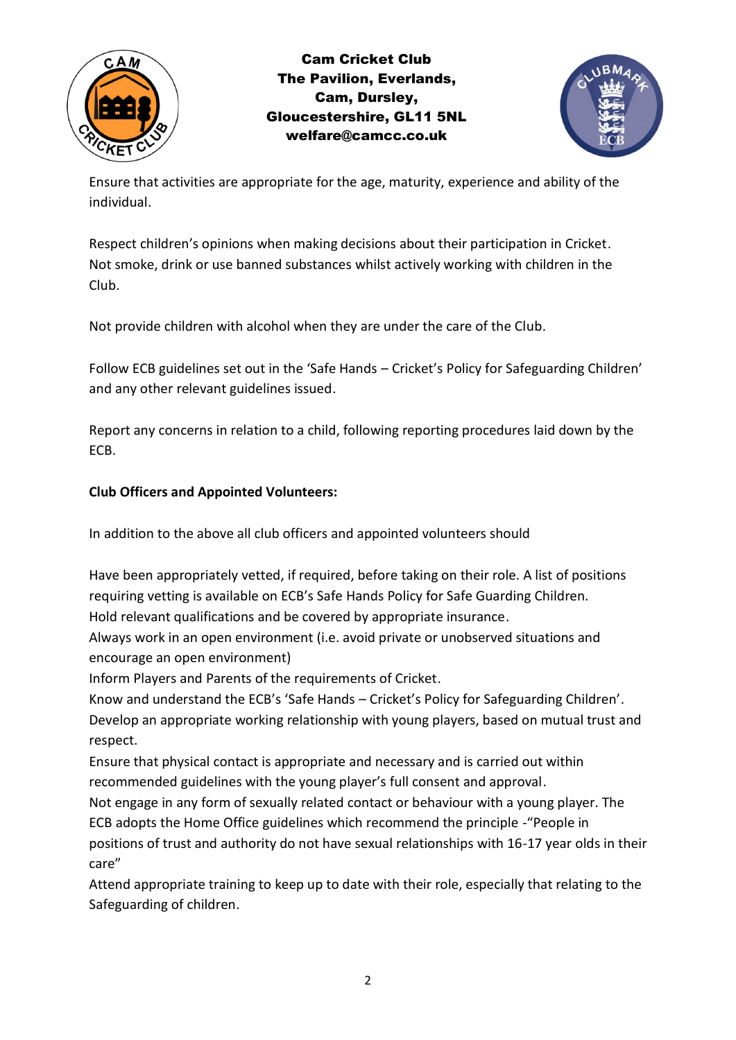

Cam Cricket Club The Pavilion, Everlands, Cam, Dursley, Gloucestershire, GL11 5NL welfare@camcc.co.uk



Ensure that activities are appropriate for the age, maturity, experience and ability of the individual.

Respect children's opinions when making decisions about their participation in Cricket. Not smoke, drink or use banned substances whilst actively working with children in the Club.

Not provide children with alcohol when they are under the care of the Club.

Follow ECB guidelines set out in the 'Safe Hands – Cricket's Policy for Safeguarding Children' and any other relevant guidelines issued.

Report any concerns in relation to a child, following reporting procedures laid down by the ECB.

## **Club Officers and Appointed Volunteers:**

In addition to the above all club officers and appointed volunteers should

Have been appropriately vetted, if required, before taking on their role. A list of positions requiring vetting is available on ECB's Safe Hands Policy for Safe Guarding Children.

Hold relevant qualifications and be covered by appropriate insurance.

Always work in an open environment (i.e. avoid private or unobserved situations and encourage an open environment)

Inform Players and Parents of the requirements of Cricket.

Know and understand the ECB's 'Safe Hands – Cricket's Policy for Safeguarding Children'. Develop an appropriate working relationship with young players, based on mutual trust and respect.

Ensure that physical contact is appropriate and necessary and is carried out within recommended guidelines with the young player's full consent and approval.

Not engage in any form of sexually related contact or behaviour with a young player. The ECB adopts the Home Office guidelines which recommend the principle -"People in positions of trust and authority do not have sexual relationships with 16-17 year olds in their care"

Attend appropriate training to keep up to date with their role, especially that relating to the Safeguarding of children.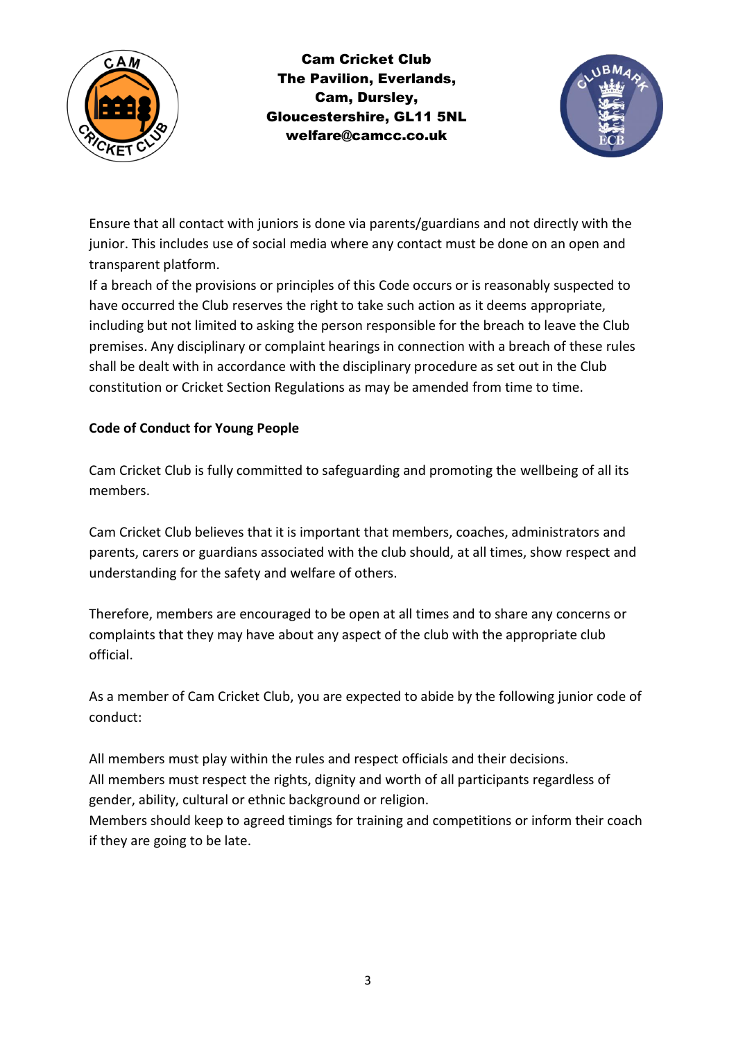

Cam Cricket Club The Pavilion, Everlands, Cam, Dursley, Gloucestershire, GL11 5NL welfare@camcc.co.uk



Ensure that all contact with juniors is done via parents/guardians and not directly with the junior. This includes use of social media where any contact must be done on an open and transparent platform.

If a breach of the provisions or principles of this Code occurs or is reasonably suspected to have occurred the Club reserves the right to take such action as it deems appropriate, including but not limited to asking the person responsible for the breach to leave the Club premises. Any disciplinary or complaint hearings in connection with a breach of these rules shall be dealt with in accordance with the disciplinary procedure as set out in the Club constitution or Cricket Section Regulations as may be amended from time to time.

## **Code of Conduct for Young People**

Cam Cricket Club is fully committed to safeguarding and promoting the wellbeing of all its members.

Cam Cricket Club believes that it is important that members, coaches, administrators and parents, carers or guardians associated with the club should, at all times, show respect and understanding for the safety and welfare of others.

Therefore, members are encouraged to be open at all times and to share any concerns or complaints that they may have about any aspect of the club with the appropriate club official.

As a member of Cam Cricket Club, you are expected to abide by the following junior code of conduct:

All members must play within the rules and respect officials and their decisions. All members must respect the rights, dignity and worth of all participants regardless of gender, ability, cultural or ethnic background or religion.

Members should keep to agreed timings for training and competitions or inform their coach if they are going to be late.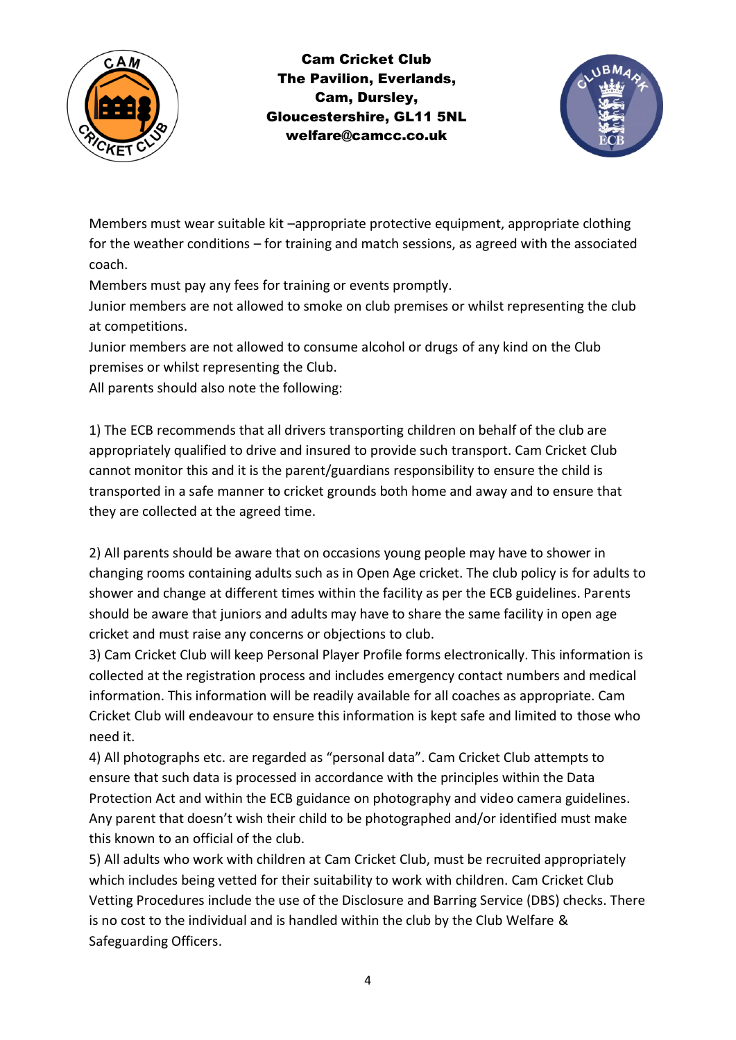

Cam Cricket Club The Pavilion, Everlands, Cam, Dursley, Gloucestershire, GL11 5NL welfare@camcc.co.uk



Members must wear suitable kit –appropriate protective equipment, appropriate clothing for the weather conditions – for training and match sessions, as agreed with the associated coach.

Members must pay any fees for training or events promptly.

Junior members are not allowed to smoke on club premises or whilst representing the club at competitions.

Junior members are not allowed to consume alcohol or drugs of any kind on the Club premises or whilst representing the Club.

All parents should also note the following:

1) The ECB recommends that all drivers transporting children on behalf of the club are appropriately qualified to drive and insured to provide such transport. Cam Cricket Club cannot monitor this and it is the parent/guardians responsibility to ensure the child is transported in a safe manner to cricket grounds both home and away and to ensure that they are collected at the agreed time.

2) All parents should be aware that on occasions young people may have to shower in changing rooms containing adults such as in Open Age cricket. The club policy is for adults to shower and change at different times within the facility as per the ECB guidelines. Parents should be aware that juniors and adults may have to share the same facility in open age cricket and must raise any concerns or objections to club.

3) Cam Cricket Club will keep Personal Player Profile forms electronically. This information is collected at the registration process and includes emergency contact numbers and medical information. This information will be readily available for all coaches as appropriate. Cam Cricket Club will endeavour to ensure this information is kept safe and limited to those who need it.

4) All photographs etc. are regarded as "personal data". Cam Cricket Club attempts to ensure that such data is processed in accordance with the principles within the Data Protection Act and within the ECB guidance on photography and video camera guidelines. Any parent that doesn't wish their child to be photographed and/or identified must make this known to an official of the club.

5) All adults who work with children at Cam Cricket Club, must be recruited appropriately which includes being vetted for their suitability to work with children. Cam Cricket Club Vetting Procedures include the use of the Disclosure and Barring Service (DBS) checks. There is no cost to the individual and is handled within the club by the Club Welfare & Safeguarding Officers.